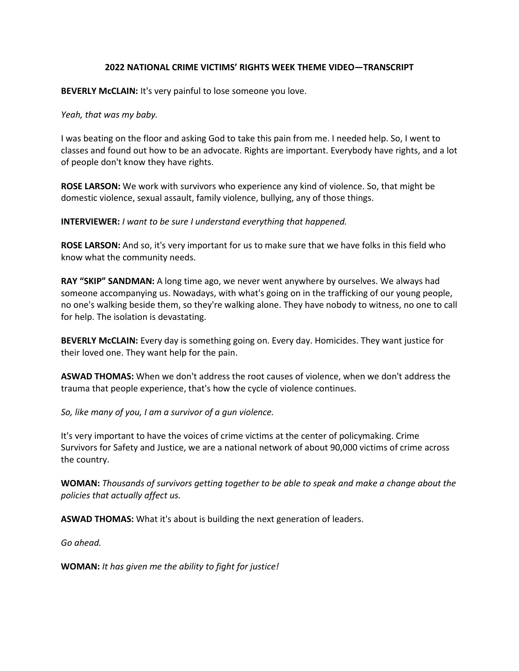## **2022 NATIONAL CRIME VICTIMS' RIGHTS WEEK THEME VIDEO—TRANSCRIPT**

**BEVERLY McCLAIN:** It's very painful to lose someone you love.

*Yeah, that was my baby.*

I was beating on the floor and asking God to take this pain from me. I needed help. So, I went to classes and found out how to be an advocate. Rights are important. Everybody have rights, and a lot of people don't know they have rights.

**ROSE LARSON:** We work with survivors who experience any kind of violence. So, that might be domestic violence, sexual assault, family violence, bullying, any of those things.

**INTERVIEWER:** *I want to be sure I understand everything that happened.*

**ROSE LARSON:** And so, it's very important for us to make sure that we have folks in this field who know what the community needs.

**RAY "SKIP" SANDMAN:** A long time ago, we never went anywhere by ourselves. We always had someone accompanying us. Nowadays, with what's going on in the trafficking of our young people, no one's walking beside them, so they're walking alone. They have nobody to witness, no one to call for help. The isolation is devastating.

**BEVERLY McCLAIN:** Every day is something going on. Every day. Homicides. They want justice for their loved one. They want help for the pain.

**ASWAD THOMAS:** When we don't address the root causes of violence, when we don't address the trauma that people experience, that's how the cycle of violence continues.

*So, like many of you, I am a survivor of a gun violence.*

It's very important to have the voices of crime victims at the center of policymaking. Crime Survivors for Safety and Justice, we are a national network of about 90,000 victims of crime across the country.

**WOMAN:** *Thousands of survivors getting together to be able to speak and make a change about the policies that actually affect us.*

**ASWAD THOMAS:** What it's about is building the next generation of leaders.

*Go ahead.*

**WOMAN:** *It has given me the ability to fight for justice!*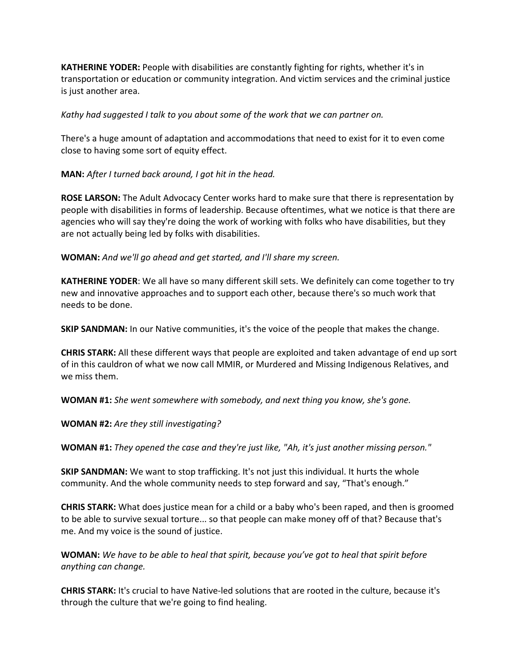**KATHERINE YODER:** People with disabilities are constantly fighting for rights, whether it's in transportation or education or community integration. And victim services and the criminal justice is just another area.

*Kathy had suggested I talk to you about some of the work that we can partner on.*

There's a huge amount of adaptation and accommodations that need to exist for it to even come close to having some sort of equity effect.

**MAN:** *After I turned back around, I got hit in the head.*

**ROSE LARSON:** The Adult Advocacy Center works hard to make sure that there is representation by people with disabilities in forms of leadership. Because oftentimes, what we notice is that there are agencies who will say they're doing the work of working with folks who have disabilities, but they are not actually being led by folks with disabilities.

**WOMAN:** *And we'll go ahead and get started, and I'll share my screen.*

**KATHERINE YODER**: We all have so many different skill sets. We definitely can come together to try new and innovative approaches and to support each other, because there's so much work that needs to be done.

**SKIP SANDMAN:** In our Native communities, it's the voice of the people that makes the change.

**CHRIS STARK:** All these different ways that people are exploited and taken advantage of end up sort of in this cauldron of what we now call MMIR, or Murdered and Missing Indigenous Relatives, and we miss them.

**WOMAN #1:** *She went somewhere with somebody, and next thing you know, she's gone.*

**WOMAN #2:** *Are they still investigating?*

**WOMAN #1:** *They opened the case and they're just like, "Ah, it's just another missing person."*

**SKIP SANDMAN:** We want to stop trafficking. It's not just this individual. It hurts the whole community. And the whole community needs to step forward and say, "That's enough."

**CHRIS STARK:** What does justice mean for a child or a baby who's been raped, and then is groomed to be able to survive sexual torture... so that people can make money off of that? Because that's me. And my voice is the sound of justice.

**WOMAN:** *We have to be able to heal that spirit, because you've got to heal that spirit before anything can change.*

**CHRIS STARK:** It's crucial to have Native-led solutions that are rooted in the culture, because it's through the culture that we're going to find healing.